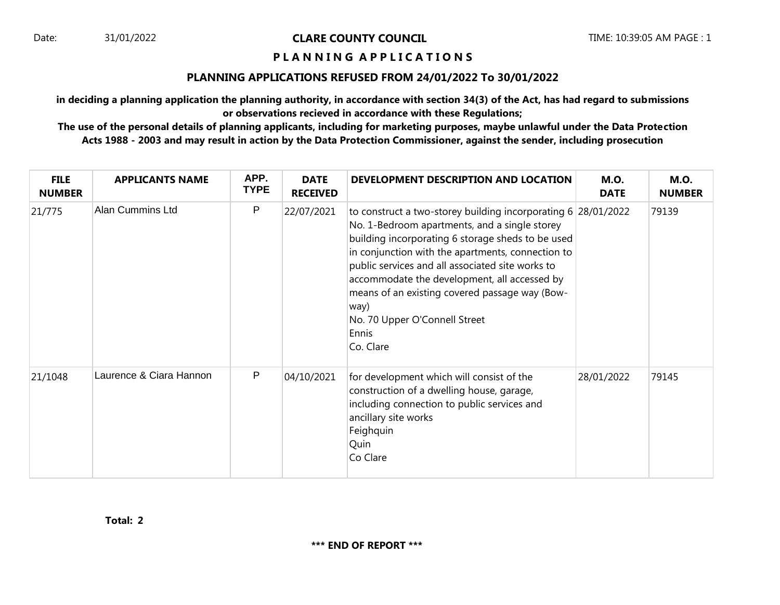Date: 31/01/2022 **CLARE COUNTY COUNCIL** TIME: 10:39:05 AM PAGE : 1

## **P L A N N I N G A P P L I C A T I O N S**

## **PLANNING APPLICATIONS REFUSED FROM 24/01/2022 To 30/01/2022**

**in deciding a planning application the planning authority, in accordance with section 34(3) of the Act, has had regard to submissions or observations recieved in accordance with these Regulations;**

**The use of the personal details of planning applicants, including for marketing purposes, maybe unlawful under the Data Protection Acts 1988 - 2003 and may result in action by the Data Protection Commissioner, against the sender, including prosecution**

| <b>FILE</b><br><b>NUMBER</b> | <b>APPLICANTS NAME</b>  | APP.<br><b>TYPE</b> | <b>DATE</b><br><b>RECEIVED</b> | DEVELOPMENT DESCRIPTION AND LOCATION                                                                                                                                                                                                                                                                                                                                                                                                          | <b>M.O.</b><br><b>DATE</b> | <b>M.O.</b><br><b>NUMBER</b> |
|------------------------------|-------------------------|---------------------|--------------------------------|-----------------------------------------------------------------------------------------------------------------------------------------------------------------------------------------------------------------------------------------------------------------------------------------------------------------------------------------------------------------------------------------------------------------------------------------------|----------------------------|------------------------------|
| 21/775                       | <b>Alan Cummins Ltd</b> | P                   | 22/07/2021                     | to construct a two-storey building incorporating 6 28/01/2022<br>No. 1-Bedroom apartments, and a single storey<br>building incorporating 6 storage sheds to be used<br>in conjunction with the apartments, connection to<br>public services and all associated site works to<br>accommodate the development, all accessed by<br>means of an existing covered passage way (Bow-<br>way)<br>No. 70 Upper O'Connell Street<br>Ennis<br>Co. Clare |                            | 79139                        |
| 21/1048                      | Laurence & Ciara Hannon | P                   | 04/10/2021                     | for development which will consist of the<br>construction of a dwelling house, garage,<br>including connection to public services and<br>ancillary site works<br>Feighquin<br>Quin<br>Co Clare                                                                                                                                                                                                                                                | 28/01/2022                 | 79145                        |